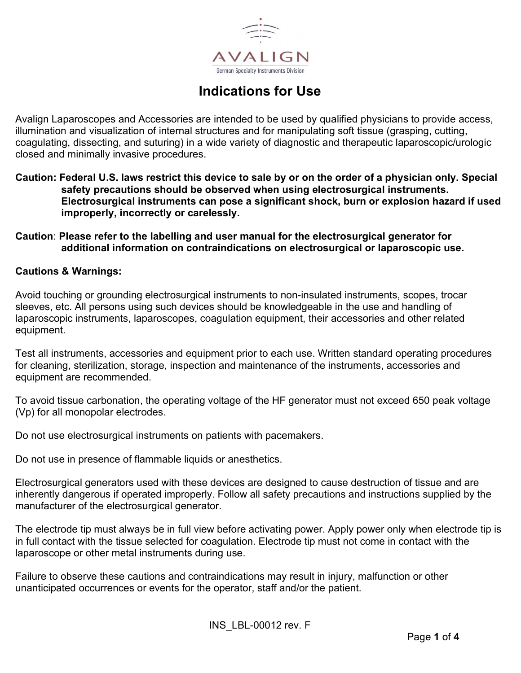

# Indications for Use

Avalign Laparoscopes and Accessories are intended to be used by qualified physicians to provide access, illumination and visualization of internal structures and for manipulating soft tissue (grasping, cutting, coagulating, dissecting, and suturing) in a wide variety of diagnostic and therapeutic laparoscopic/urologic closed and minimally invasive procedures.

Caution: Federal U.S. laws restrict this device to sale by or on the order of a physician only. Special safety precautions should be observed when using electrosurgical instruments. Electrosurgical instruments can pose a significant shock, burn or explosion hazard if used improperly, incorrectly or carelessly.

### Caution: Please refer to the labelling and user manual for the electrosurgical generator for additional information on contraindications on electrosurgical or laparoscopic use.

#### Cautions & Warnings:

Avoid touching or grounding electrosurgical instruments to non-insulated instruments, scopes, trocar sleeves, etc. All persons using such devices should be knowledgeable in the use and handling of laparoscopic instruments, laparoscopes, coagulation equipment, their accessories and other related equipment.

Test all instruments, accessories and equipment prior to each use. Written standard operating procedures for cleaning, sterilization, storage, inspection and maintenance of the instruments, accessories and equipment are recommended.

To avoid tissue carbonation, the operating voltage of the HF generator must not exceed 650 peak voltage (Vp) for all monopolar electrodes.

Do not use electrosurgical instruments on patients with pacemakers.

Do not use in presence of flammable liquids or anesthetics.

Electrosurgical generators used with these devices are designed to cause destruction of tissue and are inherently dangerous if operated improperly. Follow all safety precautions and instructions supplied by the manufacturer of the electrosurgical generator.

The electrode tip must always be in full view before activating power. Apply power only when electrode tip is in full contact with the tissue selected for coagulation. Electrode tip must not come in contact with the laparoscope or other metal instruments during use.

Failure to observe these cautions and contraindications may result in injury, malfunction or other unanticipated occurrences or events for the operator, staff and/or the patient.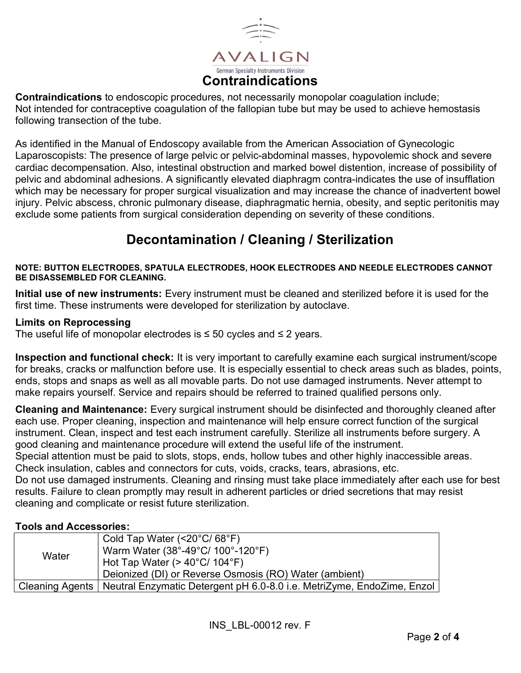

Contraindications to endoscopic procedures, not necessarily monopolar coagulation include; Not intended for contraceptive coagulation of the fallopian tube but may be used to achieve hemostasis following transection of the tube.

As identified in the Manual of Endoscopy available from the American Association of Gynecologic Laparoscopists: The presence of large pelvic or pelvic-abdominal masses, hypovolemic shock and severe cardiac decompensation. Also, intestinal obstruction and marked bowel distention, increase of possibility of pelvic and abdominal adhesions. A significantly elevated diaphragm contra-indicates the use of insufflation which may be necessary for proper surgical visualization and may increase the chance of inadvertent bowel injury. Pelvic abscess, chronic pulmonary disease, diaphragmatic hernia, obesity, and septic peritonitis may exclude some patients from surgical consideration depending on severity of these conditions.

## Decontamination / Cleaning / Sterilization

#### NOTE: BUTTON ELECTRODES, SPATULA ELECTRODES, HOOK ELECTRODES AND NEEDLE ELECTRODES CANNOT BE DISASSEMBLED FOR CLEANING.

Initial use of new instruments: Every instrument must be cleaned and sterilized before it is used for the first time. These instruments were developed for sterilization by autoclave.

#### Limits on Reprocessing

The useful life of monopolar electrodes is  $\leq$  50 cycles and  $\leq$  2 years.

Inspection and functional check: It is very important to carefully examine each surgical instrument/scope for breaks, cracks or malfunction before use. It is especially essential to check areas such as blades, points, ends, stops and snaps as well as all movable parts. Do not use damaged instruments. Never attempt to make repairs yourself. Service and repairs should be referred to trained qualified persons only.

Cleaning and Maintenance: Every surgical instrument should be disinfected and thoroughly cleaned after each use. Proper cleaning, inspection and maintenance will help ensure correct function of the surgical instrument. Clean, inspect and test each instrument carefully. Sterilize all instruments before surgery. A good cleaning and maintenance procedure will extend the useful life of the instrument.

Special attention must be paid to slots, stops, ends, hollow tubes and other highly inaccessible areas. Check insulation, cables and connectors for cuts, voids, cracks, tears, abrasions, etc.

Do not use damaged instruments. Cleaning and rinsing must take place immediately after each use for best results. Failure to clean promptly may result in adherent particles or dried secretions that may resist cleaning and complicate or resist future sterilization.

### Tools and Accessories:

| Water | Cold Tap Water $(<20^{\circ}C/68^{\circ}F)$<br>Warm Water (38°-49°C/ 100°-120°F)<br>Hot Tap Water ( $>$ 40°C/ 104°F)<br>Deionized (DI) or Reverse Osmosis (RO) Water (ambient) |
|-------|--------------------------------------------------------------------------------------------------------------------------------------------------------------------------------|
|       | Cleaning Agents   Neutral Enzymatic Detergent pH 6.0-8.0 i.e. MetriZyme, EndoZime, Enzol                                                                                       |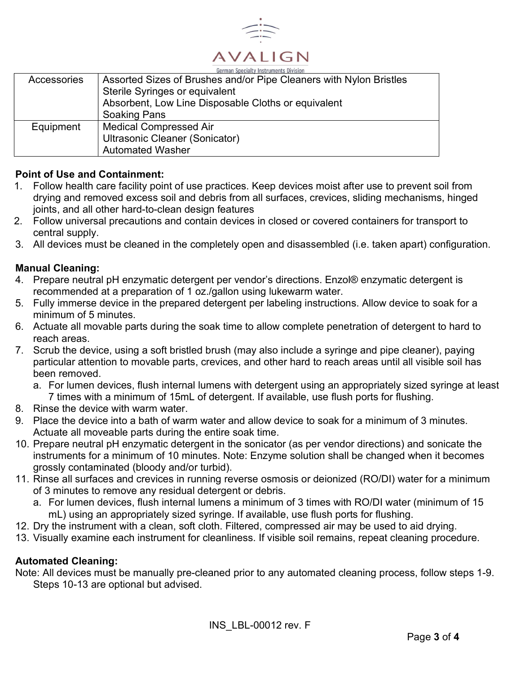

| German Specialty Instruments Division |                                                                    |  |  |  |
|---------------------------------------|--------------------------------------------------------------------|--|--|--|
| Accessories                           | Assorted Sizes of Brushes and/or Pipe Cleaners with Nylon Bristles |  |  |  |
|                                       | Sterile Syringes or equivalent                                     |  |  |  |
|                                       | Absorbent, Low Line Disposable Cloths or equivalent                |  |  |  |
|                                       | <b>Soaking Pans</b>                                                |  |  |  |
| Equipment                             | <b>Medical Compressed Air</b>                                      |  |  |  |
|                                       | Ultrasonic Cleaner (Sonicator)                                     |  |  |  |
|                                       | <b>Automated Washer</b>                                            |  |  |  |

### Point of Use and Containment:

- 1. Follow health care facility point of use practices. Keep devices moist after use to prevent soil from drying and removed excess soil and debris from all surfaces, crevices, sliding mechanisms, hinged joints, and all other hard-to-clean design features
- 2. Follow universal precautions and contain devices in closed or covered containers for transport to central supply.
- 3. All devices must be cleaned in the completely open and disassembled (i.e. taken apart) configuration.

### Manual Cleaning:

- 4. Prepare neutral pH enzymatic detergent per vendor's directions. Enzol® enzymatic detergent is recommended at a preparation of 1 oz./gallon using lukewarm water.
- 5. Fully immerse device in the prepared detergent per labeling instructions. Allow device to soak for a minimum of 5 minutes.
- 6. Actuate all movable parts during the soak time to allow complete penetration of detergent to hard to reach areas.
- 7. Scrub the device, using a soft bristled brush (may also include a syringe and pipe cleaner), paying particular attention to movable parts, crevices, and other hard to reach areas until all visible soil has been removed.
	- a. For lumen devices, flush internal lumens with detergent using an appropriately sized syringe at least 7 times with a minimum of 15mL of detergent. If available, use flush ports for flushing.
- 8. Rinse the device with warm water.
- 9. Place the device into a bath of warm water and allow device to soak for a minimum of 3 minutes. Actuate all moveable parts during the entire soak time.
- 10. Prepare neutral pH enzymatic detergent in the sonicator (as per vendor directions) and sonicate the instruments for a minimum of 10 minutes. Note: Enzyme solution shall be changed when it becomes grossly contaminated (bloody and/or turbid).
- 11. Rinse all surfaces and crevices in running reverse osmosis or deionized (RO/DI) water for a minimum of 3 minutes to remove any residual detergent or debris.
	- a. For lumen devices, flush internal lumens a minimum of 3 times with RO/DI water (minimum of 15 mL) using an appropriately sized syringe. If available, use flush ports for flushing.
- 12. Dry the instrument with a clean, soft cloth. Filtered, compressed air may be used to aid drying.
- 13. Visually examine each instrument for cleanliness. If visible soil remains, repeat cleaning procedure.

### Automated Cleaning:

Note: All devices must be manually pre-cleaned prior to any automated cleaning process, follow steps 1-9. Steps 10-13 are optional but advised.